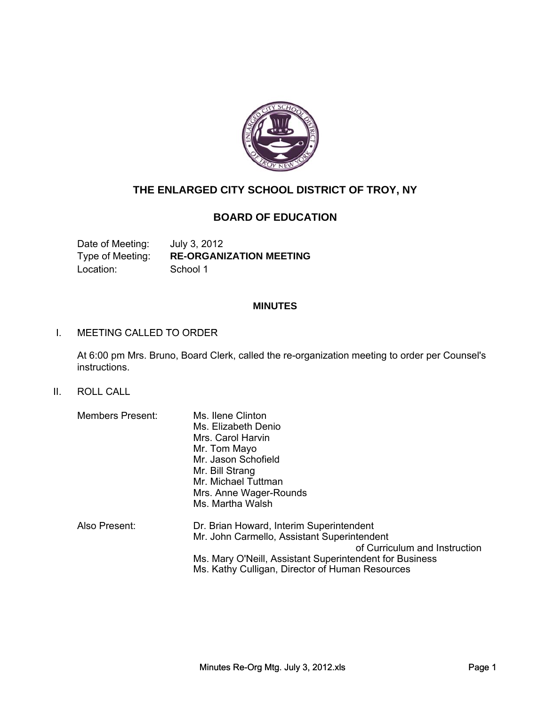

# **THE ENLARGED CITY SCHOOL DISTRICT OF TROY, NY**

# **BOARD OF EDUCATION**

Date of Meeting: July 3, 2012 Type of Meeting: **RE-ORGANIZATION MEETING** Location: School 1

## **MINUTES**

#### I. MEETING CALLED TO ORDER

At 6:00 pm Mrs. Bruno, Board Clerk, called the re-organization meeting to order per Counsel's instructions.

#### II. ROLL CALL

| <b>Members Present:</b> | Ms. Ilene Clinton                                       |
|-------------------------|---------------------------------------------------------|
|                         | Ms. Elizabeth Denio                                     |
|                         | Mrs. Carol Harvin                                       |
|                         | Mr. Tom Mayo                                            |
|                         | Mr. Jason Schofield                                     |
|                         | Mr. Bill Strang                                         |
|                         | Mr. Michael Tuttman                                     |
|                         | Mrs. Anne Wager-Rounds                                  |
|                         | Ms. Martha Walsh                                        |
| Also Present:           | Dr. Brian Howard, Interim Superintendent                |
|                         | Mr. John Carmello, Assistant Superintendent             |
|                         | of Curriculum and Instruction                           |
|                         | Ms. Mary O'Neill, Assistant Superintendent for Business |
|                         |                                                         |

Ms. Kathy Culligan, Director of Human Resources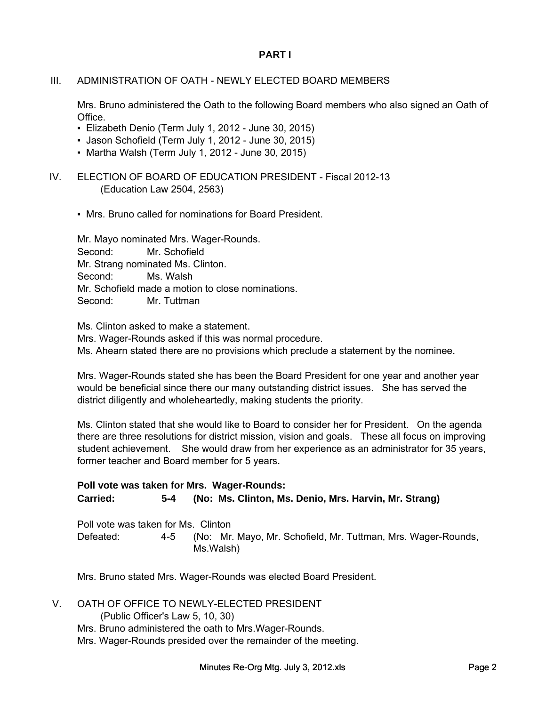#### **PART I**

## III. ADMINISTRATION OF OATH - NEWLY ELECTED BOARD MEMBERS

Mrs. Bruno administered the Oath to the following Board members who also signed an Oath of Office.

- Elizabeth Denio (Term July 1, 2012 June 30, 2015)
- Jason Schofield (Term July 1, 2012 June 30, 2015)
- Martha Walsh (Term July 1, 2012 June 30, 2015)
- IV. ELECTION OF BOARD OF EDUCATION PRESIDENT Fiscal 2012-13 (Education Law 2504, 2563)
	- Mrs. Bruno called for nominations for Board President.

Mr. Mayo nominated Mrs. Wager-Rounds. Second: Mr. Schofield Mr. Strang nominated Ms. Clinton. Second: Ms. Walsh Mr. Schofield made a motion to close nominations. Second: Mr. Tuttman

Ms. Clinton asked to make a statement. Ms. Clinton asked to make a

Mrs. Wager-Rounds asked if this was normal procedure. Ms. Ahearn stated there are no provisions which preclude a statement by the nominee.

Mrs. Wager-Rounds stated she has been the Board President for one year and another year would be beneficial since there our many outstanding district issues. She has served the district diligently and wholeheartedly, making students the priority.

Ms. Clinton stated that she would like to Board to consider her for President. On the agenda there are three resolutions for district mission, vision and goals. These all focus on improving student achievement. She would draw from her experience as an administrator for 35 years, former teacher and Board member for 5 years.

#### **Poll vote was taken for Mrs. Wager-Rounds: Carried: (No: Ms. Clinton, Ms. Denio, Mrs. Harvin, Mr. Strang) 5-4**

Poll vote was taken for Ms. Clinton (No: Mr. Mayo, Mr. Schofield, Mr. Tuttman, Mrs. Wager-Rounds, Ms.Walsh) Defeated: 4-5

Mrs. Bruno stated Mrs. Wager-Rounds was elected Board President.

V. OATH OF OFFICE TO NEWLY-ELECTED PRESIDENT

(Public Officer's Law 5, 10, 30) Mrs. Bruno administered the oath to Mrs.Wager-Rounds. Mrs. Wager-Rounds presided over the remainder of the meeting.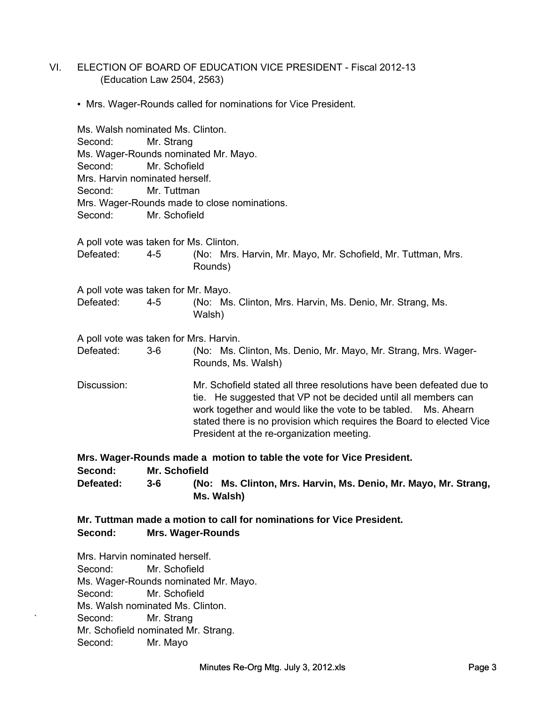- VI. ELECTION OF BOARD OF EDUCATION VICE PRESIDENT Fiscal 2012-13 (Education Law 2504, 2563)
	- Mrs. Wager-Rounds called for nominations for Vice President.

Ms. Walsh nominated Ms. Clinton. Second: Mr. Strang Ms. Wager-Rounds nominated Mr. Mayo. Second: Mr. Schofield Mrs. Harvin nominated herself. Second: Mr. Tuttman Mrs. Wager-Rounds made to close nominations. Second: Mr. Schofield A poll vote was taken for Ms. Clinton. A poll vote was taken for Mr. Mayo. (No: Mrs. Harvin, Mr. Mayo, Mr. Schofield, Mr. Tuttman, Mrs. Rounds) Defeated: (No: Ms. Clinton, Mrs. Harvin, Ms. Denio, Mr. Strang, Ms. Walsh) Defeated: 4-5 4-5 A poll vote was taken for Mrs. Harvin. Discussion: Mr. Schofield stated all three resolutions have been defeated due to tie. He suggested that VP not be decided until all members can work together and would like the vote to be tabled. Ms. Ahearn stated there is no provision which requires the Board to elected Vice President at the re-organization meeting. (No: Ms. Clinton, Ms. Denio, Mr. Mayo, Mr. Strang, Mrs. Wager-Rounds, Ms. Walsh) Defeated: 3-6

**Mrs. Wager-Rounds made a motion to table the vote for Vice President. Second: Mr. Schofield (No: Ms. Clinton, Mrs. Harvin, Ms. Denio, Mr. Mayo, Mr. Strang, Ms. Walsh) Defeated: 3-6**

**Mr. Tuttman made a motion to call for nominations for Vice President. Second: Mrs. Wager-Rounds**

Mrs. Harvin nominated herself. Second: Mr. Schofield Ms. Wager-Rounds nominated Mr. Mayo. Second: Mr. Schofield Ms. Walsh nominated Ms. Clinton. Second: Mr. Strang Mr. Schofield nominated Mr. Strang. Second: Mr. Mayo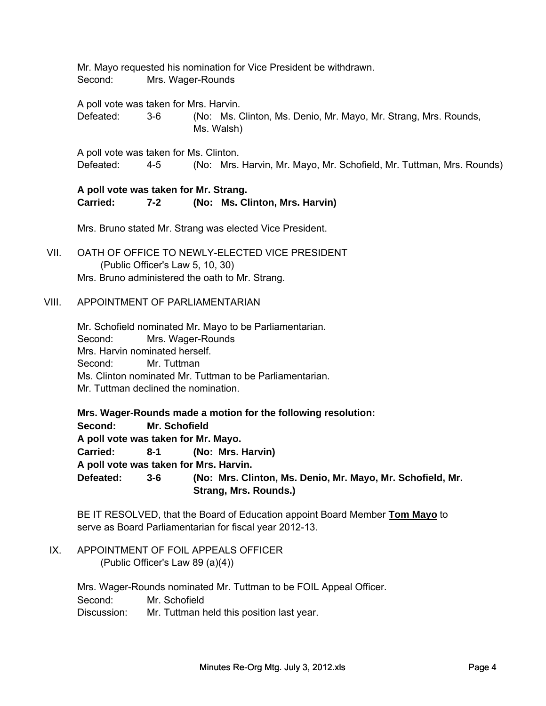Mr. Mayo requested his nomination for Vice President be withdrawn. Second: Mrs. Wager-Rounds

A poll vote was taken for Mrs. Harvin.

(No: Ms. Clinton, Ms. Denio, Mr. Mayo, Mr. Strang, Mrs. Rounds, Ms. Walsh) Defeated: 3-6

A poll vote was taken for Ms. Clinton. Defeated: 4-5 (No: Mrs. Harvin, Mr. Mayo, Mr. Schofield, Mr. Tuttman, Mrs. Rounds) 4-5

#### **A poll vote was taken for Mr. Strang. Carried: (No: Ms. Clinton, Mrs. Harvin) 7-2**

Mrs. Bruno stated Mr. Strang was elected Vice President.

VII. OATH OF OFFICE TO NEWLY-ELECTED VICE PRESIDENT (Public Officer's Law 5, 10, 30) Mrs. Bruno administered the oath to Mr. Strang.

#### VIII. APPOINTMENT OF PARLIAMENTARIAN

Mr. Schofield nominated Mr. Mayo to be Parliamentarian. Second: Mrs. Wager-Rounds Mrs. Harvin nominated herself. Second: Mr. Tuttman Ms. Clinton nominated Mr. Tuttman to be Parliamentarian. Mr. Tuttman declined the nomination.

**Mrs. Wager-Rounds made a motion for the following resolution: Second: Mr. Schofield A poll vote was taken for Mr. Mayo. Carried: (No: Mrs. Harvin) A poll vote was taken for Mrs. Harvin. Defeated: 8-1 3-6 (No: Mrs. Clinton, Ms. Denio, Mr. Mayo, Mr. Schofield, Mr. Strang, Mrs. Rounds.)**

BE IT RESOLVED, that the Board of Education appoint Board Member **Tom Mayo** to serve as Board Parliamentarian for fiscal year 2012-13.

IX. APPOINTMENT OF FOIL APPEALS OFFICER (Public Officer's Law 89 (a)(4))

> Second: Mr. Schofield Discussion: Mr. Tuttman held this position last year. Mrs. Wager-Rounds nominated Mr. Tuttman to be FOIL Appeal Officer.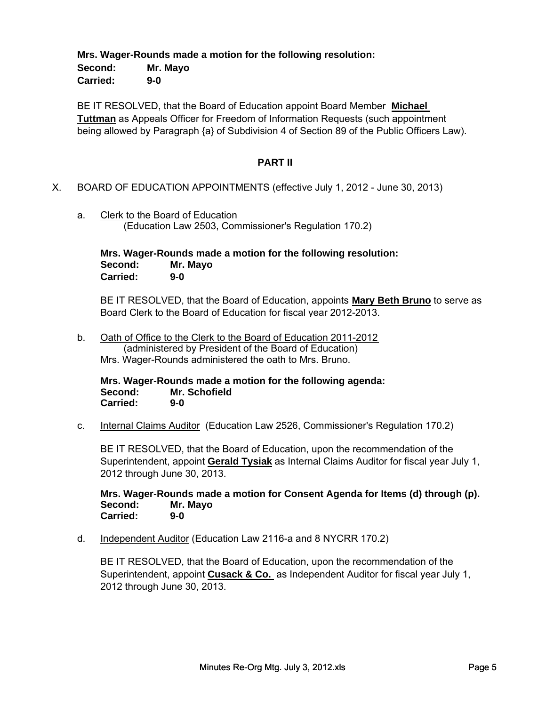#### **Mrs. Wager-Rounds made a motion for the following resolution: Second: Mr. Mayo Carried: 9-0**

BE IT RESOLVED, that the Board of Education appoint Board Member **Michael Tuttman** as Appeals Officer for Freedom of Information Requests (such appointment being allowed by Paragraph {a} of Subdivision 4 of Section 89 of the Public Officers Law).

#### **PART II**

- X. BOARD OF EDUCATION APPOINTMENTS (effective July 1, 2012 June 30, 2013)
	- a. Clerk to the Board of Education (Education Law 2503, Commissioner's Regulation 170.2)

**Mrs. Wager-Rounds made a motion for the following resolution: Second: Mr. Mayo Carried: 9-0**

BE IT RESOLVED, that the Board of Education, appoints **Mary Beth Bruno** to serve as Board Clerk to the Board of Education for fiscal year 2012-2013.

b. Oath of Office to the Clerk to the Board of Education 2011-2012 (administered by President of the Board of Education) Mrs. Wager-Rounds administered the oath to Mrs. Bruno.

**Mrs. Wager-Rounds made a motion for the following agenda: Second: Mr. Schofield Carried: 9-0**

c. Internal Claims Auditor (Education Law 2526, Commissioner's Regulation 170.2)

BE IT RESOLVED, that the Board of Education, upon the recommendation of the Superintendent, appoint **Gerald Tysiak** as Internal Claims Auditor for fiscal year July 1, 2012 through June 30, 2013.

**Mrs. Wager-Rounds made a motion for Consent Agenda for Items (d) through (p). Second: Mr. Mayo Carried: 9-0**

d. Independent Auditor (Education Law 2116-a and 8 NYCRR 170.2)

BE IT RESOLVED, that the Board of Education, upon the recommendation of the Superintendent, appoint **Cusack & Co.** as Independent Auditor for fiscal year July 1, 2012 through June 30, 2013.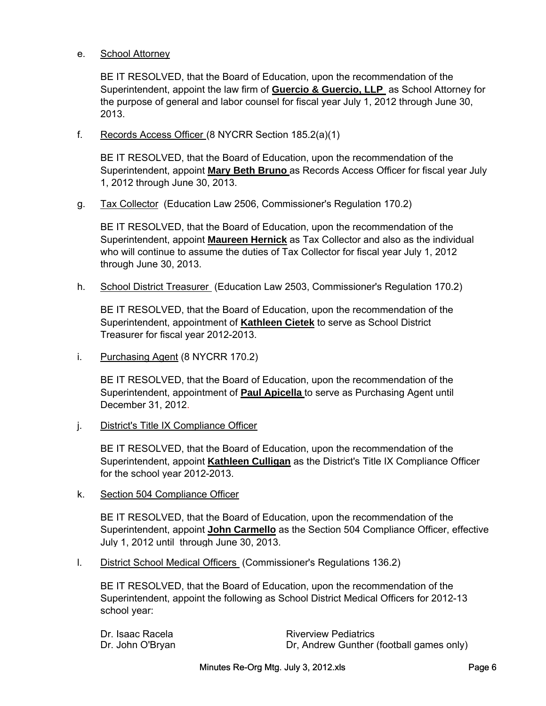#### e. School Attorney

BE IT RESOLVED, that the Board of Education, upon the recommendation of the Superintendent, appoint the law firm of **Guercio & Guercio, LLP** as School Attorney for the purpose of general and labor counsel for fiscal year July 1, 2012 through June 30, 2013.

f. Records Access Officer (8 NYCRR Section 185.2(a)(1)

BE IT RESOLVED, that the Board of Education, upon the recommendation of the Superintendent, appoint **Mary Beth Bruno** as Records Access Officer for fiscal year July 1, 2012 through June 30, 2013.

g. Tax Collector (Education Law 2506, Commissioner's Regulation 170.2)

BE IT RESOLVED, that the Board of Education, upon the recommendation of the Superintendent, appoint **Maureen Hernick** as Tax Collector and also as the individual who will continue to assume the duties of Tax Collector for fiscal year July 1, 2012 through June 30, 2013.

h. School District Treasurer (Education Law 2503, Commissioner's Regulation 170.2)

BE IT RESOLVED, that the Board of Education, upon the recommendation of the Superintendent, appointment of **Kathleen Cietek** to serve as School District Treasurer for fiscal year 2012-2013.

i. Purchasing Agent (8 NYCRR 170.2)

BE IT RESOLVED, that the Board of Education, upon the recommendation of the Superintendent, appointment of **Paul Apicella** to serve as Purchasing Agent until December 31, 2012.

j. District's Title IX Compliance Officer

BE IT RESOLVED, that the Board of Education, upon the recommendation of the Superintendent, appoint **Kathleen Culligan** as the District's Title IX Compliance Officer for the school year 2012-2013.

k. Section 504 Compliance Officer

BE IT RESOLVED, that the Board of Education, upon the recommendation of the Superintendent, appoint **John Carmello** as the Section 504 Compliance Officer, effective July 1, 2012 until through June 30, 2013.

l. District School Medical Officers (Commissioner's Regulations 136.2)

BE IT RESOLVED, that the Board of Education, upon the recommendation of the Superintendent, appoint the following as School District Medical Officers for 2012-13 school year:

| Dr. Isaac Racela | <b>Riverview Pediatrics</b>              |
|------------------|------------------------------------------|
| Dr. John O'Bryan | Dr, Andrew Gunther (football games only) |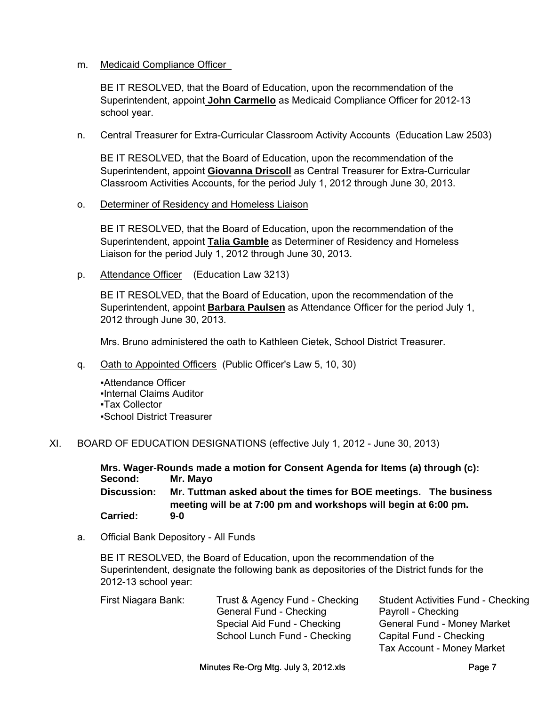#### m. Medicaid Compliance Officer

BE IT RESOLVED, that the Board of Education, upon the recommendation of the Superintendent, appoint **John Carmello** as Medicaid Compliance Officer for 2012-13 school year.

n. Central Treasurer for Extra-Curricular Classroom Activity Accounts (Education Law 2503)

BE IT RESOLVED, that the Board of Education, upon the recommendation of the Superintendent, appoint **Giovanna Driscoll** as Central Treasurer for Extra-Curricular Classroom Activities Accounts, for the period July 1, 2012 through June 30, 2013.

o. Determiner of Residency and Homeless Liaison

BE IT RESOLVED, that the Board of Education, upon the recommendation of the Superintendent, appoint **Talia Gamble** as Determiner of Residency and Homeless Liaison for the period July 1, 2012 through June 30, 2013.

p. Attendance Officer (Education Law 3213)

BE IT RESOLVED, that the Board of Education, upon the recommendation of the Superintendent, appoint **Barbara Paulsen** as Attendance Officer for the period July 1, 2012 through June 30, 2013.

Mrs. Bruno administered the oath to Kathleen Cietek, School District Treasurer.

q. Oath to Appointed Officers (Public Officer's Law 5, 10, 30)

▪Attendance Officer ▪Internal Claims Auditor ▪Tax Collector ▪School District Treasurer

XI. BOARD OF EDUCATION DESIGNATIONS (effective July 1, 2012 - June 30, 2013)

**Mrs. Wager-Rounds made a motion for Consent Agenda for Items (a) through (c): Second: Mr. Mayo Carried: Mr. Tuttman asked about the times for BOE meetings. The business meeting will be at 7:00 pm and workshops will begin at 6:00 pm. Discussion: 9-0**

a. Official Bank Depository - All Funds

BE IT RESOLVED, the Board of Education, upon the recommendation of the Superintendent, designate the following bank as depositories of the District funds for the 2012-13 school year:

| First Niagara Bank: | Trust & Agency Fund - Checking | <b>Student Activities Fund - Checking</b> |
|---------------------|--------------------------------|-------------------------------------------|
|                     | General Fund - Checking        | Payroll - Checking                        |
|                     | Special Aid Fund - Checking    | <b>General Fund - Money Market</b>        |
|                     | School Lunch Fund - Checking   | Capital Fund - Checking                   |
|                     |                                | <b>Tax Account - Money Market</b>         |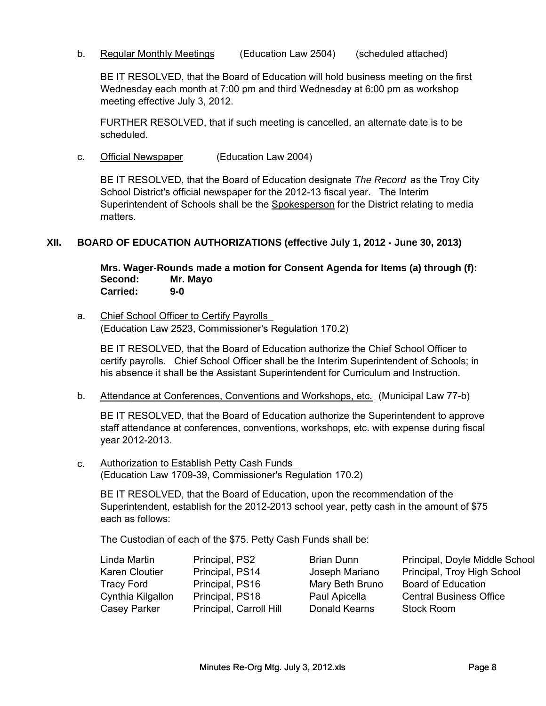b. Regular Monthly Meetings (Education Law 2504) (scheduled attached)

BE IT RESOLVED, that the Board of Education will hold business meeting on the first Wednesday each month at 7:00 pm and third Wednesday at 6:00 pm as workshop meeting effective July 3, 2012.

FURTHER RESOLVED, that if such meeting is cancelled, an alternate date is to be scheduled.

c. Official Newspaper (Education Law 2004)

BE IT RESOLVED, that the Board of Education designate *The Record* as the Troy City School District's official newspaper for the 2012-13 fiscal year. The Interim Superintendent of Schools shall be the Spokesperson for the District relating to media matters.

## **XII. BOARD OF EDUCATION AUTHORIZATIONS (effective July 1, 2012 - June 30, 2013)**

**Mrs. Wager-Rounds made a motion for Consent Agenda for Items (a) through (f): Second: Mr. Mayo Carried: 9-0**

# a. Chief School Officer to Certify Payrolls

(Education Law 2523, Commissioner's Regulation 170.2)

(Education Law 2523, Commissioner's Regulation 170.2)<br>BE IT RESOLVED, that the Board of Education authorize the Chief School Officer to<br>certify payrolls. Chief School Officer shall be the Interim Superintendent of Schools; BE IT RESOLVED, that the Board of Education authorize the Chief School Officer to certify payrolls. Chief School Officer shall be the Interim Superintendent of Schools; in his absence it shall be the Assistant Superintendent for Curriculum and Instruction.

BE IT RESOLVED, that the Board of Education authorize the Superintendent to approve staff attendance at conferences, conventions, workshops, etc. with expense during fiscal year 2012-2013.

c. (Education Law 1709-39, Commissioner's Regulation 170.2) Authorization to Establish Petty Cash Funds

BE IT RESOLVED, that the Board of Education, upon the recommendation of the Superintendent, establish for the 2012-2013 school year, petty cash in the amount of \$75 each as follows:

The Custodian of each of the \$75. Petty Cash Funds shall be:

| Principal, PS2          | <b>Brian Dunn</b>    |
|-------------------------|----------------------|
| Principal, PS14         | Joseph Marian        |
| Principal, PS16         | Mary Beth Brur       |
| Principal, PS18         | Paul Apicella        |
| Principal, Carroll Hill | <b>Donald Kearns</b> |
|                         |                      |

Principal, Doyle Middle School o Principal, Troy High School no Board of Education Central Business Office Stock Room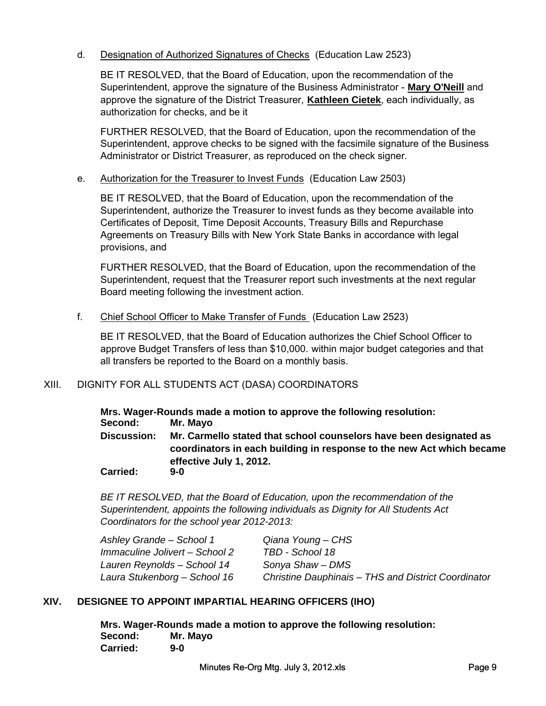## d. Designation of Authorized Signatures of Checks (Education Law 2523)

BE IT RESOLVED, that the Board of Education, upon the recommendation of the Superintendent, approve the signature of the Business Administrator - **Mary O'Neill** and approve the signature of the District Treasurer, **Kathleen Cietek**, each individually, as authorization for checks, and be it

FURTHER RESOLVED, that the Board of Education, upon the recommendation of the Superintendent, approve checks to be signed with the facsimile signature of the Business Administrator or District Treasurer, as reproduced on the check signer.

#### e. Authorization for the Treasurer to Invest Funds (Education Law 2503)

BE IT RESOLVED, that the Board of Education, upon the recommendation of the Superintendent, authorize the Treasurer to invest funds as they become available into Certificates of Deposit, Time Deposit Accounts, Treasury Bills and Repurchase Agreements on Treasury Bills with New York State Banks in accordance with legal provisions, and

FURTHER RESOLVED, that the Board of Education, upon the recommendation of the Superintendent, request that the Treasurer report such investments at the next regular Board meeting following the investment action.

f. Chief School Officer to Make Transfer of Funds (Education Law 2523)

BE IT RESOLVED, that the Board of Education authorizes the Chief School Officer to approve Budget Transfers of less than \$10,000. within major budget categories and that all transfers be reported to the Board on a monthly basis.

#### XIII. DIGNITY FOR ALL STUDENTS ACT (DASA) COORDINATORS

**Mrs. Wager-Rounds made a motion to approve the following resolution: Second: Mr. Mayo Discussion: Mr. Carmello stated that school counselors have been designated as coordinators in each building in response to the new Act which became effective July 1, 2012.**

**Carried: 9-0**

*BE IT RESOLVED, that the Board of Education, upon the recommendation of the Superintendent, appoints the following individuals as Dignity for All Students Act Coordinators for the school year 2012-2013:* 

| Ashley Grande - School 1       | Qiana Young - CHS                                   |
|--------------------------------|-----------------------------------------------------|
| Immaculine Jolivert - School 2 | TBD - School 18                                     |
| Lauren Reynolds - School 14    | Sonya Shaw - DMS                                    |
| Laura Stukenborg – School 16   | Christine Dauphinais - THS and District Coordinator |

#### **XIV. DESIGNEE TO APPOINT IMPARTIAL HEARING OFFICERS (IHO)**

**Mrs. Wager-Rounds made a motion to approve the following resolution: Second: Mr. Mayo Carried: 9-0**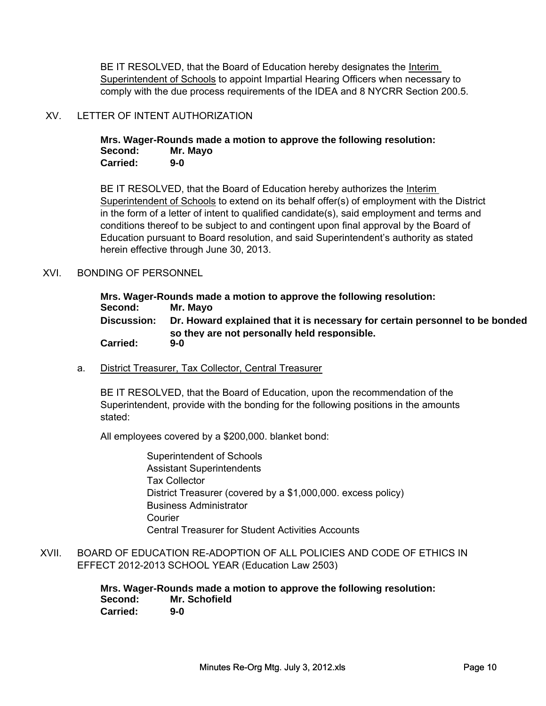BE IT RESOLVED, that the Board of Education hereby designates the Interim Superintendent of Schools to appoint Impartial Hearing Officers when necessary to comply with the due process requirements of the IDEA and 8 NYCRR Section 200.5.

#### XV. LETTER OF INTENT AUTHORIZATION

**Mrs. Wager-Rounds made a motion to approve the following resolution: Second: Mr. Mayo Carried: 9-0**

BE IT RESOLVED, that the Board of Education hereby authorizes the Interim Superintendent of Schools to extend on its behalf offer(s) of employment with the District in the form of a letter of intent to qualified candidate(s), said employment and terms and conditions thereof to be subject to and contingent upon final approval by the Board of Education pursuant to Board resolution, and said Superintendent's authority as stated herein effective through June 30, 2013.

#### XVI. BONDING OF PERSONNEL

| Mrs. Wager-Rounds made a motion to approve the following resolution: |                                                                              |  |
|----------------------------------------------------------------------|------------------------------------------------------------------------------|--|
| Second:                                                              | Mr. Mayo                                                                     |  |
| <b>Discussion:</b>                                                   | Dr. Howard explained that it is necessary for certain personnel to be bonded |  |
| <b>Carried:</b>                                                      | so they are not personally held responsible.<br>$9-0$                        |  |

a. District Treasurer, Tax Collector, Central Treasurer

BE IT RESOLVED, that the Board of Education, upon the recommendation of the Superintendent, provide with the bonding for the following positions in the amounts stated:

All employees covered by a \$200,000. blanket bond:

Superintendent of Schools Assistant Superintendents Tax Collector District Treasurer (covered by a \$1,000,000. excess policy) Business Administrator Courier Central Treasurer for Student Activities Accounts

XVII. BOARD OF EDUCATION RE-ADOPTION OF ALL POLICIES AND CODE OF ETHICS IN EFFECT 2012-2013 SCHOOL YEAR (Education Law 2503)

> **Mrs. Wager-Rounds made a motion to approve the following resolution: Second: Mr. Schofield Carried: 9-0**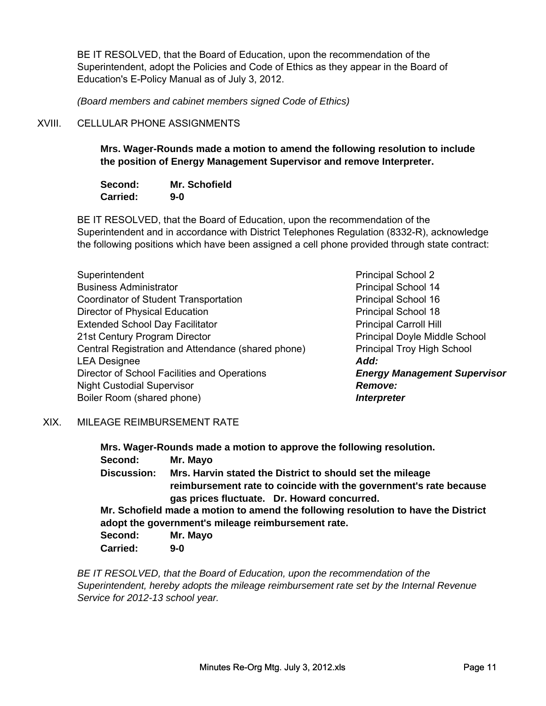BE IT RESOLVED, that the Board of Education, upon the recommendation of the Superintendent, adopt the Policies and Code of Ethics as they appear in the Board of Education's E-Policy Manual as of July 3, 2012.

*(Board members and cabinet members signed Code of Ethics)*

## XVIII. CELLULAR PHONE ASSIGNMENTS

**Mrs. Wager-Rounds made a motion to amend the following resolution to include the position of Energy Management Supervisor and remove Interpreter.** 

| Second:         | <b>Mr. Schofield</b> |
|-----------------|----------------------|
| <b>Carried:</b> | $9-0$                |

BE IT RESOLVED, that the Board of Education, upon the recommendation of the Superintendent and in accordance with District Telephones Regulation (8332-R), acknowledge the following positions which have been assigned a cell phone provided through state contract:

| Superintendent                                     | <b>Principal School 2</b>     |
|----------------------------------------------------|-------------------------------|
| <b>Business Administrator</b>                      | <b>Principal School 14</b>    |
| <b>Coordinator of Student Transportation</b>       | <b>Principal School 16</b>    |
| Director of Physical Education                     | <b>Principal School 18</b>    |
| <b>Extended School Day Facilitator</b>             | <b>Principal Carroll Hill</b> |
| 21st Century Program Director                      | Principal Doyle Mid           |
| Central Registration and Attendance (shared phone) | <b>Principal Troy High</b>    |
| <b>LEA Designee</b>                                | Add:                          |
| Director of School Facilities and Operations       | <b>Energy Manageme</b>        |
| <b>Night Custodial Supervisor</b>                  | <b>Remove:</b>                |
| Boiler Room (shared phone)                         | <b>Interpreter</b>            |

**Principal School 2 Principal School 14** Principal School 16 Principal School 18 Principal Doyle Middle School Principal Troy High School **Energy Management Supervisor** Remove: **Interpreter** 

#### XIX. MILEAGE REIMBURSEMENT RATE

**Mrs. Wager-Rounds made a motion to approve the following resolution. Second: Mr. Mayo Discussion: Mr. Schofield made a motion to amend the following resolution to have the District adopt the government's mileage reimbursement rate. Mrs. Harvin stated the District to should set the mileage reimbursement rate to coincide with the government's rate because gas prices fluctuate. Dr. Howard concurred.**

**Second: Mr. Mayo Carried: 9-0**

*BE IT RESOLVED, that the Board of Education, upon the recommendation of the Superintendent, hereby adopts the mileage reimbursement rate set by the Internal Revenue Service for 2012-13 school year.*